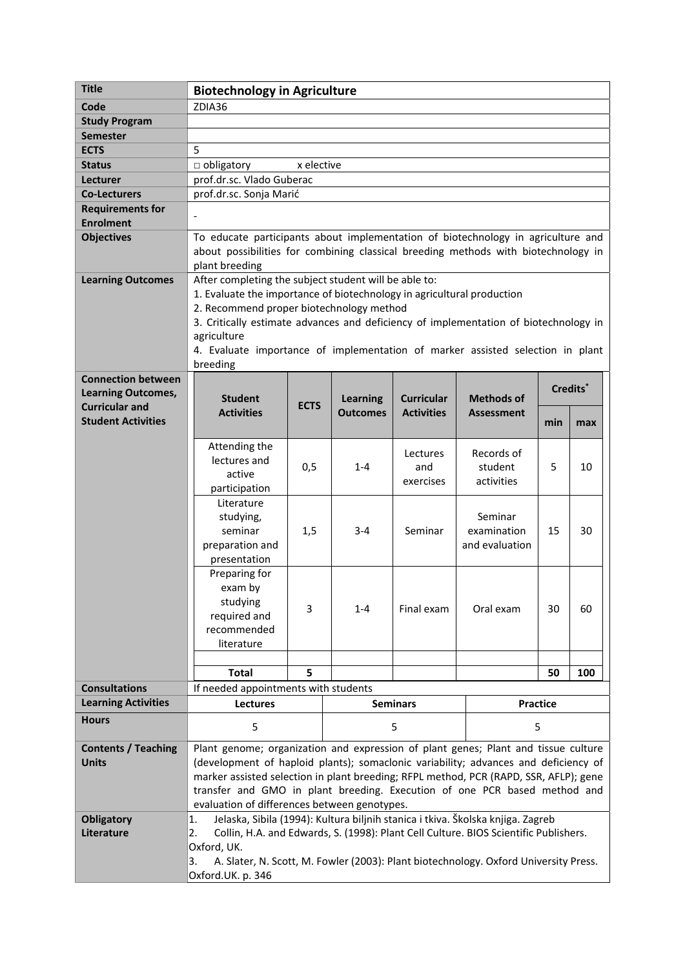| <b>Title</b>                               | <b>Biotechnology in Agriculture</b>                                                                                                                                                      |                                                                                                                           |                                    |                                        |                                        |                 |     |  |
|--------------------------------------------|------------------------------------------------------------------------------------------------------------------------------------------------------------------------------------------|---------------------------------------------------------------------------------------------------------------------------|------------------------------------|----------------------------------------|----------------------------------------|-----------------|-----|--|
| Code                                       | ZDIA36                                                                                                                                                                                   |                                                                                                                           |                                    |                                        |                                        |                 |     |  |
| <b>Study Program</b>                       |                                                                                                                                                                                          |                                                                                                                           |                                    |                                        |                                        |                 |     |  |
| <b>Semester</b>                            |                                                                                                                                                                                          |                                                                                                                           |                                    |                                        |                                        |                 |     |  |
| <b>ECTS</b>                                | 5                                                                                                                                                                                        |                                                                                                                           |                                    |                                        |                                        |                 |     |  |
| <b>Status</b>                              | obligatory<br>x elective                                                                                                                                                                 |                                                                                                                           |                                    |                                        |                                        |                 |     |  |
| Lecturer                                   | prof.dr.sc. Vlado Guberac                                                                                                                                                                |                                                                                                                           |                                    |                                        |                                        |                 |     |  |
| <b>Co-Lecturers</b>                        | prof.dr.sc. Sonja Marić                                                                                                                                                                  |                                                                                                                           |                                    |                                        |                                        |                 |     |  |
| <b>Requirements for</b>                    |                                                                                                                                                                                          |                                                                                                                           |                                    |                                        |                                        |                 |     |  |
| <b>Enrolment</b>                           |                                                                                                                                                                                          |                                                                                                                           |                                    |                                        |                                        |                 |     |  |
| <b>Objectives</b>                          | To educate participants about implementation of biotechnology in agriculture and<br>about possibilities for combining classical breeding methods with biotechnology in<br>plant breeding |                                                                                                                           |                                    |                                        |                                        |                 |     |  |
| <b>Learning Outcomes</b>                   | After completing the subject student will be able to:                                                                                                                                    |                                                                                                                           |                                    |                                        |                                        |                 |     |  |
|                                            | 1. Evaluate the importance of biotechnology in agricultural production<br>2. Recommend proper biotechnology method                                                                       |                                                                                                                           |                                    |                                        |                                        |                 |     |  |
|                                            | 3. Critically estimate advances and deficiency of implementation of biotechnology in                                                                                                     |                                                                                                                           |                                    |                                        |                                        |                 |     |  |
|                                            | agriculture                                                                                                                                                                              |                                                                                                                           |                                    |                                        |                                        |                 |     |  |
|                                            | 4. Evaluate importance of implementation of marker assisted selection in plant                                                                                                           |                                                                                                                           |                                    |                                        |                                        |                 |     |  |
|                                            | breeding                                                                                                                                                                                 |                                                                                                                           |                                    |                                        |                                        |                 |     |  |
| <b>Connection between</b>                  |                                                                                                                                                                                          |                                                                                                                           |                                    |                                        |                                        |                 |     |  |
| <b>Learning Outcomes,</b>                  | <b>Student</b>                                                                                                                                                                           |                                                                                                                           | <b>Learning</b><br><b>Outcomes</b> | <b>Curricular</b><br><b>Activities</b> | <b>Methods of</b><br><b>Assessment</b> | Credits*        |     |  |
| <b>Curricular and</b>                      | <b>Activities</b>                                                                                                                                                                        | <b>ECTS</b>                                                                                                               |                                    |                                        |                                        |                 |     |  |
| <b>Student Activities</b>                  |                                                                                                                                                                                          |                                                                                                                           |                                    |                                        |                                        | min             | max |  |
|                                            | Attending the                                                                                                                                                                            |                                                                                                                           |                                    |                                        |                                        |                 |     |  |
|                                            | lectures and                                                                                                                                                                             |                                                                                                                           |                                    | Lectures                               | Records of                             |                 |     |  |
|                                            | active                                                                                                                                                                                   | 0,5                                                                                                                       | $1 - 4$                            | and<br>exercises                       | student                                | 5               | 10  |  |
|                                            | participation                                                                                                                                                                            |                                                                                                                           |                                    |                                        | activities                             |                 |     |  |
|                                            | Literature                                                                                                                                                                               |                                                                                                                           |                                    |                                        |                                        |                 |     |  |
|                                            | studying,                                                                                                                                                                                |                                                                                                                           |                                    |                                        | Seminar                                |                 |     |  |
|                                            | seminar                                                                                                                                                                                  | 1,5                                                                                                                       | $3 - 4$                            | Seminar                                | examination                            | 15              | 30  |  |
|                                            | preparation and                                                                                                                                                                          |                                                                                                                           |                                    |                                        | and evaluation                         |                 |     |  |
|                                            | presentation<br>Preparing for                                                                                                                                                            |                                                                                                                           |                                    |                                        |                                        |                 |     |  |
|                                            | exam by                                                                                                                                                                                  |                                                                                                                           |                                    |                                        |                                        |                 |     |  |
|                                            | studying                                                                                                                                                                                 |                                                                                                                           |                                    |                                        |                                        |                 |     |  |
|                                            | required and                                                                                                                                                                             | 3                                                                                                                         | $1 - 4$                            | Final exam                             | Oral exam                              | 30              | 60  |  |
|                                            | recommended                                                                                                                                                                              |                                                                                                                           |                                    |                                        |                                        |                 |     |  |
|                                            | literature                                                                                                                                                                               |                                                                                                                           |                                    |                                        |                                        |                 |     |  |
|                                            |                                                                                                                                                                                          |                                                                                                                           |                                    |                                        |                                        |                 |     |  |
|                                            | <b>Total</b>                                                                                                                                                                             | 5                                                                                                                         |                                    |                                        |                                        | 50              | 100 |  |
| <b>Consultations</b>                       | If needed appointments with students                                                                                                                                                     |                                                                                                                           |                                    |                                        |                                        |                 |     |  |
| <b>Learning Activities</b>                 | <b>Lectures</b>                                                                                                                                                                          |                                                                                                                           |                                    | <b>Seminars</b>                        |                                        | <b>Practice</b> |     |  |
| <b>Hours</b>                               | 5                                                                                                                                                                                        |                                                                                                                           |                                    | 5                                      | 5                                      |                 |     |  |
|                                            |                                                                                                                                                                                          |                                                                                                                           |                                    |                                        |                                        |                 |     |  |
| <b>Contents / Teaching</b><br><b>Units</b> | Plant genome; organization and expression of plant genes; Plant and tissue culture<br>(development of haploid plants); somaclonic variability; advances and deficiency of                |                                                                                                                           |                                    |                                        |                                        |                 |     |  |
|                                            | marker assisted selection in plant breeding; RFPL method, PCR (RAPD, SSR, AFLP); gene                                                                                                    |                                                                                                                           |                                    |                                        |                                        |                 |     |  |
|                                            |                                                                                                                                                                                          |                                                                                                                           |                                    |                                        |                                        |                 |     |  |
|                                            |                                                                                                                                                                                          | transfer and GMO in plant breeding. Execution of one PCR based method and<br>evaluation of differences between genotypes. |                                    |                                        |                                        |                 |     |  |
| <b>Obligatory</b>                          | Jelaska, Sibila (1994): Kultura biljnih stanica i tkiva. Školska knjiga. Zagreb<br>$\overline{1}$ .                                                                                      |                                                                                                                           |                                    |                                        |                                        |                 |     |  |
| Literature                                 | Collin, H.A. and Edwards, S. (1998): Plant Cell Culture. BIOS Scientific Publishers.<br>2.                                                                                               |                                                                                                                           |                                    |                                        |                                        |                 |     |  |
|                                            | Oxford, UK.                                                                                                                                                                              |                                                                                                                           |                                    |                                        |                                        |                 |     |  |
|                                            | A. Slater, N. Scott, M. Fowler (2003): Plant biotechnology. Oxford University Press.<br>3.                                                                                               |                                                                                                                           |                                    |                                        |                                        |                 |     |  |
|                                            | Oxford.UK. p. 346                                                                                                                                                                        |                                                                                                                           |                                    |                                        |                                        |                 |     |  |